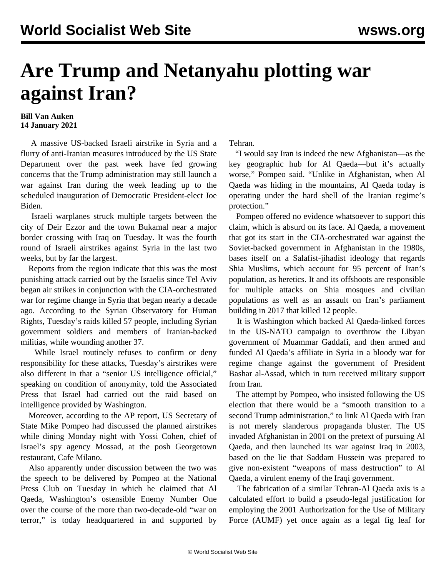## **Are Trump and Netanyahu plotting war against Iran?**

## **Bill Van Auken 14 January 2021**

 A massive US-backed Israeli airstrike in Syria and a flurry of anti-Iranian measures introduced by the US State Department over the past week have fed growing concerns that the Trump administration may still launch a war against Iran during the week leading up to the scheduled inauguration of Democratic President-elect Joe Biden.

 Israeli warplanes struck multiple targets between the city of Deir Ezzor and the town Bukamal near a major border crossing with Iraq on Tuesday. It was the fourth round of Israeli airstrikes against Syria in the last two weeks, but by far the largest.

 Reports from the region indicate that this was the most punishing attack carried out by the Israelis since Tel Aviv began air strikes in conjunction with the CIA-orchestrated war for regime change in Syria that began nearly a decade ago. According to the Syrian Observatory for Human Rights, Tuesday's raids killed 57 people, including Syrian government soldiers and members of Iranian-backed militias, while wounding another 37.

 While Israel routinely refuses to confirm or deny responsibility for these attacks, Tuesday's airstrikes were also different in that a "senior US intelligence official," speaking on condition of anonymity, told the Associated Press that Israel had carried out the raid based on intelligence provided by Washington.

 Moreover, according to the AP report, US Secretary of State Mike Pompeo had discussed the planned airstrikes while dining Monday night with Yossi Cohen, chief of Israel's spy agency Mossad, at the posh Georgetown restaurant, Cafe Milano.

 Also apparently under discussion between the two was the speech to be delivered by Pompeo at the National Press Club on Tuesday in which he claimed that Al Qaeda, Washington's ostensible Enemy Number One over the course of the more than two-decade-old "war on terror," is today headquartered in and supported by

Tehran.

 "I would say Iran is indeed the new Afghanistan—as the key geographic hub for Al Qaeda—but it's actually worse," Pompeo said. "Unlike in Afghanistan, when Al Qaeda was hiding in the mountains, Al Qaeda today is operating under the hard shell of the Iranian regime's protection."

 Pompeo offered no evidence whatsoever to support this claim, which is absurd on its face. Al Qaeda, a movement that got its start in the CIA-orchestrated war against the Soviet-backed government in Afghanistan in the 1980s, bases itself on a Salafist-jihadist ideology that regards Shia Muslims, which account for 95 percent of Iran's population, as heretics. It and its offshoots are responsible for multiple attacks on Shia mosques and civilian populations as well as an assault on Iran's parliament building in 2017 that killed 12 people.

 It is Washington which backed Al Qaeda-linked forces in the US-NATO campaign to overthrow the Libyan government of Muammar Gaddafi, and then armed and funded Al Qaeda's affiliate in Syria in a bloody war for regime change against the government of President Bashar al-Assad, which in turn received military support from Iran.

 The attempt by Pompeo, who insisted following the US election that there would be a "smooth transition to a second Trump administration," to link Al Qaeda with Iran is not merely slanderous propaganda bluster. The US invaded Afghanistan in 2001 on the pretext of pursuing Al Qaeda, and then launched its war against Iraq in 2003, based on the lie that Saddam Hussein was prepared to give non-existent "weapons of mass destruction" to Al Qaeda, a virulent enemy of the Iraqi government.

 The fabrication of a similar Tehran-Al Qaeda axis is a calculated effort to build a pseudo-legal justification for employing the 2001 Authorization for the Use of Military Force (AUMF) yet once again as a legal fig leaf for